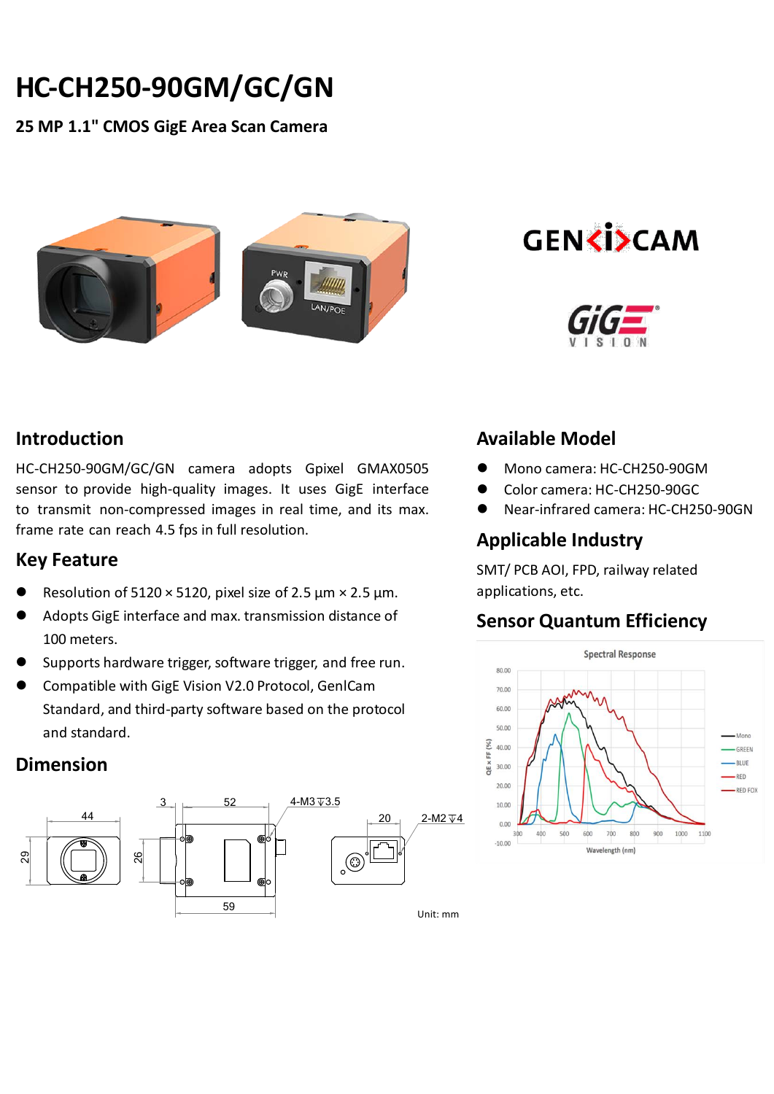# **HC-CH250-90GM/GC/GN**

**25 MP 1.1" CMOS GigE Area Scan Camera**



**GENKISCAM** 



## **Introduction**

HC-CH250-90GM/GC/GN camera adopts Gpixel GMAX0505 sensor to provide high-quality images. It uses GigE interface to transmit non-compressed images in real time, and its max. frame rate can reach 4.5 fps in full resolution.

#### **Key Feature**

- Resolution of 5120  $\times$  5120, pixel size of 2.5 µm  $\times$  2.5 µm.
- Adopts GigE interface and max. transmission distance of 100 meters.
- Supports hardware trigger, software trigger, and free run.
- Compatible with GigE Vision V2.0 Protocol, GenlCam Standard, and third-party software based on the protocol and standard.

#### **Dimension**



# **Available Model**

- Mono camera: HC-CH250-90GM
- Color camera: HC-CH250-90GC
- Near-infrared camera: HC-CH250-90GN

## **Applicable Industry**

SMT/ PCB AOI, FPD, railway related applications, etc.

#### **Sensor Quantum Efficiency**